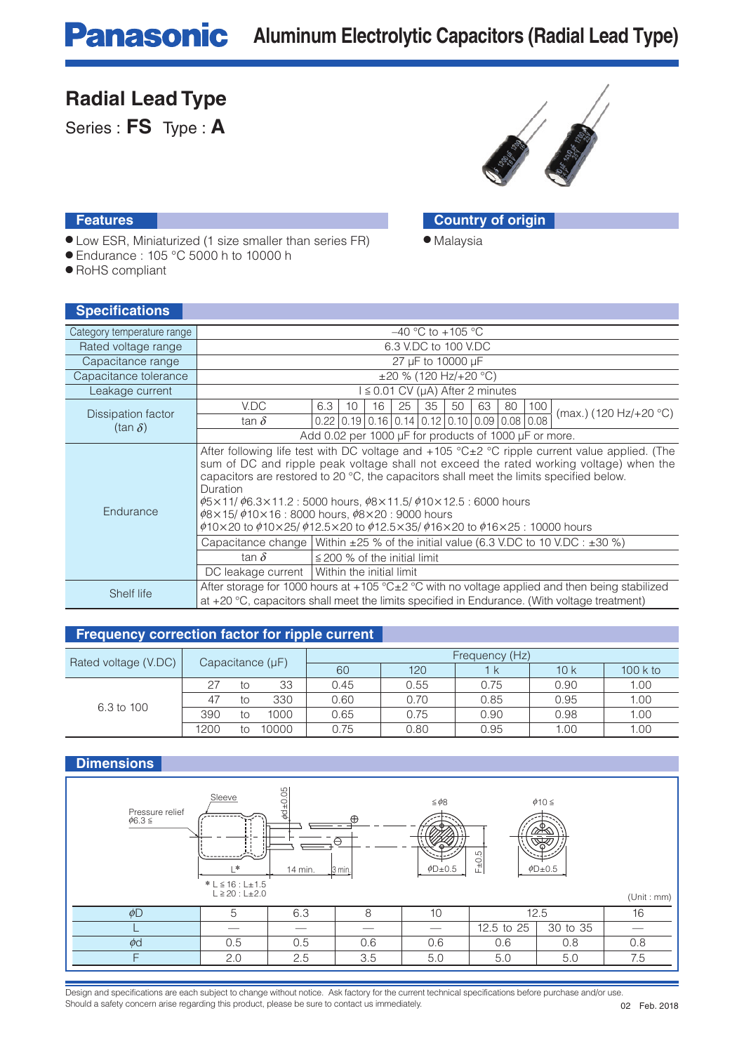### **Radial Lead Type**

Series : **FS** Type : **A**



● Malaysia

#### **Features Country of origin**

- Low ESR, Miniaturized (1 size smaller than series FR)
- Endurance : 105 °C 5000 h to 10000 h
- RoHS compliant

| <b>Specifications</b>      |                                                                                                                                                                                                                            |                                                                                                                                                                                                                                                                                                                                                                                                                                                                                                                                                                   |  |  |  |  |  |  |  |  |  |
|----------------------------|----------------------------------------------------------------------------------------------------------------------------------------------------------------------------------------------------------------------------|-------------------------------------------------------------------------------------------------------------------------------------------------------------------------------------------------------------------------------------------------------------------------------------------------------------------------------------------------------------------------------------------------------------------------------------------------------------------------------------------------------------------------------------------------------------------|--|--|--|--|--|--|--|--|--|
| Category temperature range |                                                                                                                                                                                                                            | $-40$ °C to $+105$ °C                                                                                                                                                                                                                                                                                                                                                                                                                                                                                                                                             |  |  |  |  |  |  |  |  |  |
| Rated voltage range        |                                                                                                                                                                                                                            | 6.3 V.DC to 100 V.DC                                                                                                                                                                                                                                                                                                                                                                                                                                                                                                                                              |  |  |  |  |  |  |  |  |  |
| Capacitance range          |                                                                                                                                                                                                                            | 27 µF to 10000 µF                                                                                                                                                                                                                                                                                                                                                                                                                                                                                                                                                 |  |  |  |  |  |  |  |  |  |
| Capacitance tolerance      |                                                                                                                                                                                                                            | $\pm 20$ % (120 Hz/+20 °C)                                                                                                                                                                                                                                                                                                                                                                                                                                                                                                                                        |  |  |  |  |  |  |  |  |  |
| Leakage current            | $l \leq 0.01$ CV ( $\mu$ A) After 2 minutes                                                                                                                                                                                |                                                                                                                                                                                                                                                                                                                                                                                                                                                                                                                                                                   |  |  |  |  |  |  |  |  |  |
| Dissipation factor         | V.DC<br>tan $\delta$                                                                                                                                                                                                       | 25<br>35<br>6.3<br>10<br>16<br>50<br>63<br>80<br>100<br>(max.) (120 Hz/+20 $^{\circ}$ C)<br>$0.22$   0.19   0.16   0.14   0.12   0.10   0.09   0.08   0.08                                                                                                                                                                                                                                                                                                                                                                                                        |  |  |  |  |  |  |  |  |  |
| (tan $\delta$ )            | Add 0.02 per 1000 µF for products of 1000 µF or more.                                                                                                                                                                      |                                                                                                                                                                                                                                                                                                                                                                                                                                                                                                                                                                   |  |  |  |  |  |  |  |  |  |
| Endurance                  | Duration                                                                                                                                                                                                                   | After following life test with DC voltage and $+105$ °C $\pm 2$ °C ripple current value applied. (The<br>sum of DC and ripple peak voltage shall not exceed the rated working voltage) when the<br>capacitors are restored to 20 °C, the capacitors shall meet the limits specified below.<br>$\phi$ 5×11/ $\phi$ 6.3×11.2 : 5000 hours, $\phi$ 8×11.5/ $\phi$ 10×12.5 : 6000 hours<br>$\phi$ 8×15/ $\phi$ 10×16:8000 hours, $\phi$ 8×20:9000 hours<br>$\phi$ 10×20 to $\phi$ 10×25/ $\phi$ 12.5×20 to $\phi$ 12.5×35/ $\phi$ 16×20 to $\phi$ 16×25 : 10000 hours |  |  |  |  |  |  |  |  |  |
|                            |                                                                                                                                                                                                                            | Capacitance change Within $\pm 25$ % of the initial value (6.3 V.DC to 10 V.DC : $\pm 30$ %)                                                                                                                                                                                                                                                                                                                                                                                                                                                                      |  |  |  |  |  |  |  |  |  |
|                            | tan $\delta$                                                                                                                                                                                                               | $\leq$ 200 % of the initial limit                                                                                                                                                                                                                                                                                                                                                                                                                                                                                                                                 |  |  |  |  |  |  |  |  |  |
|                            | DC leakage current   Within the initial limit                                                                                                                                                                              |                                                                                                                                                                                                                                                                                                                                                                                                                                                                                                                                                                   |  |  |  |  |  |  |  |  |  |
| Shelf life                 | After storage for 1000 hours at +105 $^{\circ}$ C $\pm$ 2 $^{\circ}$ C with no voltage applied and then being stabilized<br>at $+20$ °C, capacitors shall meet the limits specified in Endurance. (With voltage treatment) |                                                                                                                                                                                                                                                                                                                                                                                                                                                                                                                                                                   |  |  |  |  |  |  |  |  |  |

### **Frequency correction factor for ripple current**

|                      |                       |    |       | Frequency (Hz) |      |      |      |           |  |  |
|----------------------|-----------------------|----|-------|----------------|------|------|------|-----------|--|--|
| Rated voltage (V.DC) | Capacitance $(\mu F)$ |    |       | 60             | 120  | ΙK   | 10k  | $100k$ to |  |  |
|                      | 27                    | tο | 33    | 0.45           | 0.55 | 0.75 | 0.90 | 1.00      |  |  |
| 6.3 to 100           | 47                    | tο | 330   | 0.60           | 0.70 | 0.85 | 0.95 | 1.00      |  |  |
|                      | 390                   | tο | 1000  | 0.65           | 0.75 | 0.90 | 0.98 | 1.00      |  |  |
|                      | 1200                  | tο | 10000 | 0.75           | 0.80 | 0.95 | 1.00 | 1.00      |  |  |

### **Dimensions**



Design and specifications are each subject to change without notice. Ask factory for the current technical specifications before purchase and/or use. Should a safety concern arise regarding this product, please be sure to contact us immediately.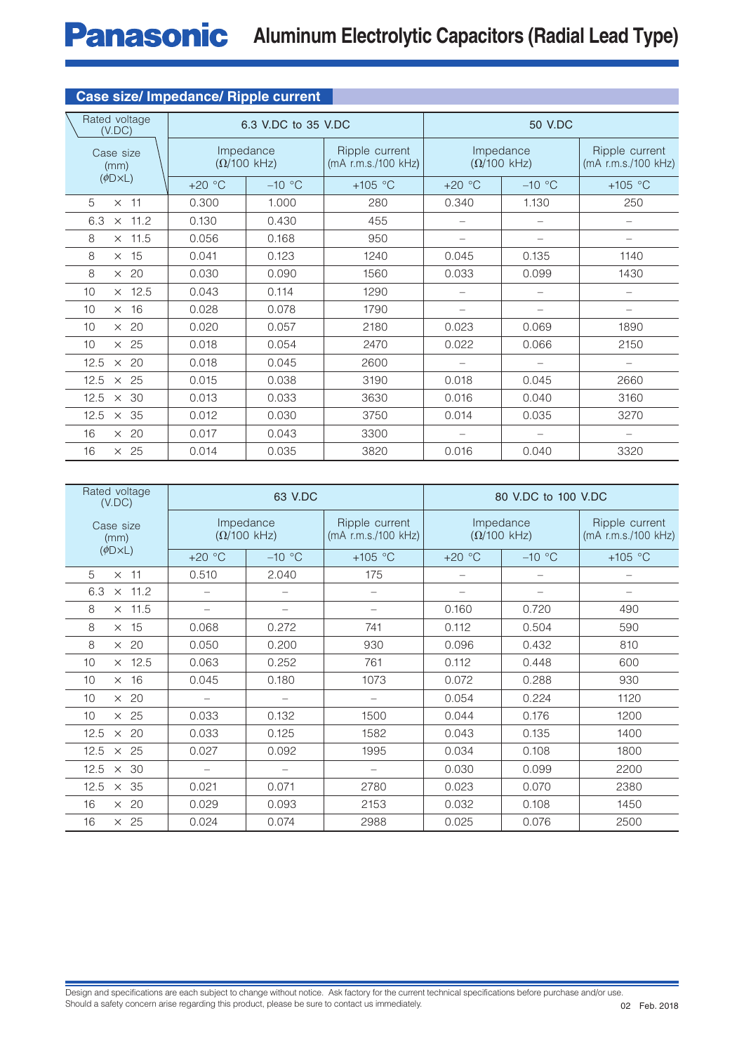# **Panasonic** Aluminum Electrolytic Capacitors (Radial Lead Type)

| <b>Case size/ Impedance/ Ripple current</b> |                                         |                     |                                       |                                         |                                       |                          |  |  |  |  |  |  |
|---------------------------------------------|-----------------------------------------|---------------------|---------------------------------------|-----------------------------------------|---------------------------------------|--------------------------|--|--|--|--|--|--|
| Rated voltage<br>(V.DC)                     |                                         | 6.3 V.DC to 35 V.DC |                                       |                                         | 50 V.DC                               |                          |  |  |  |  |  |  |
| Case size<br>(mm)                           | Impedance<br>$(\Omega/100 \text{ kHz})$ |                     | Ripple current<br>(mA r.m.s./100 kHz) | Impedance<br>$(\Omega/100 \text{ kHz})$ | Ripple current<br>(mA r.m.s./100 kHz) |                          |  |  |  |  |  |  |
| $(\phi\Box \times \Box)$                    | $+20 °C$                                | $-10$ °C            | $+105$ °C                             | $+20 °C$                                | $-10$ °C                              | $+105$ °C                |  |  |  |  |  |  |
| 5<br>$\times$ 11                            | 0.300                                   | 1.000               | 280                                   | 0.340                                   | 1.130                                 | 250                      |  |  |  |  |  |  |
| $\times$ 11.2<br>6.3                        | 0.130                                   | 0.430               | 455                                   | $\overline{\phantom{0}}$                | $\overline{\phantom{0}}$              | $\qquad \qquad -$        |  |  |  |  |  |  |
| $\times$ 11.5<br>8                          | 0.056                                   | 0.168               | 950                                   |                                         |                                       |                          |  |  |  |  |  |  |
| $\times$ 15<br>8                            | 0.041                                   | 0.123               | 1240                                  | 0.045                                   | 0.135                                 | 1140                     |  |  |  |  |  |  |
| 8<br>$\times$ 20                            | 0.030                                   | 0.090               | 1560                                  | 0.033                                   | 0.099                                 | 1430                     |  |  |  |  |  |  |
| $\times$ 12.5<br>10                         | 0.043                                   | 0.114               | 1290                                  |                                         |                                       | $\overline{\phantom{0}}$ |  |  |  |  |  |  |
| $\times$ 16<br>10                           | 0.028                                   | 0.078               | 1790                                  |                                         | $\overline{\phantom{0}}$              | $\qquad \qquad -$        |  |  |  |  |  |  |
| $\times$ 20<br>10                           | 0.020                                   | 0.057               | 2180                                  | 0.023                                   | 0.069                                 | 1890                     |  |  |  |  |  |  |
| $\times$ 25<br>10                           | 0.018                                   | 0.054               | 2470                                  | 0.022                                   | 0.066                                 | 2150                     |  |  |  |  |  |  |
| $\times$ 20<br>12.5                         | 0.018                                   | 0.045               | 2600                                  |                                         |                                       |                          |  |  |  |  |  |  |
| $\times$ 25<br>12.5                         | 0.015                                   | 0.038               | 3190                                  | 0.018                                   | 0.045                                 | 2660                     |  |  |  |  |  |  |
| 12.5<br>$\times$ 30                         | 0.013                                   | 0.033               | 3630                                  | 0.016                                   | 0.040                                 | 3160                     |  |  |  |  |  |  |
| $\times$ 35<br>12.5                         | 0.012                                   | 0.030               | 3750                                  | 0.014                                   | 0.035                                 | 3270                     |  |  |  |  |  |  |
| $\times$ 20<br>16                           | 0.017                                   | 0.043               | 3300                                  |                                         |                                       |                          |  |  |  |  |  |  |
| $\times$ 25<br>16                           | 0.014                                   | 0.035               | 3820                                  | 0.016                                   | 0.040                                 | 3320                     |  |  |  |  |  |  |

| Rated voltage<br>(V.DC)  |                          | 63 V.DC                    |                                       | 80 V.DC to 100 V.DC                     |                                       |           |  |  |  |
|--------------------------|--------------------------|----------------------------|---------------------------------------|-----------------------------------------|---------------------------------------|-----------|--|--|--|
| Case size<br>(mm)        | Impedance                | $(\Omega/100 \text{ kHz})$ | Ripple current<br>(mA r.m.s./100 kHz) | Impedance<br>$(\Omega/100 \text{ kHz})$ | Ripple current<br>(mA r.m.s./100 kHz) |           |  |  |  |
| $(\phi\Box \times \Box)$ | $+20 °C$                 | $-10$ °C                   | +105 $\degree$ C                      | $+20 °C$                                | $-10$ °C                              | $+105$ °C |  |  |  |
| 5<br>$\times$ 11         | 0.510                    | 2.040                      | 175                                   |                                         |                                       |           |  |  |  |
| $\times$ 11.2<br>6.3     |                          |                            |                                       |                                         |                                       |           |  |  |  |
| $\times$ 11.5<br>8       |                          |                            |                                       | 0.160                                   | 0.720                                 | 490       |  |  |  |
| $\times$ 15<br>8         | 0.068                    | 0.272                      | 741                                   | 0.112                                   | 0.504                                 | 590       |  |  |  |
| $\times$ 20<br>8         | 0.050                    | 0.200                      | 930                                   | 0.096                                   | 0.432                                 | 810       |  |  |  |
| $\times$ 12.5<br>10      | 0.063                    | 0.252                      | 761                                   | 0.112                                   | 0.448                                 | 600       |  |  |  |
| $\times$ 16<br>10        | 0.045                    | 0.180                      | 1073                                  | 0.072                                   | 0.288                                 | 930       |  |  |  |
| $\times$ 20<br>10        | —                        | $\overline{\phantom{m}}$   |                                       | 0.054                                   | 0.224                                 | 1120      |  |  |  |
| $\times$ 25<br>10        | 0.033                    | 0.132                      | 1500                                  | 0.044                                   | 0.176                                 | 1200      |  |  |  |
| $\times$ 20<br>12.5      | 0.033                    | 0.125                      | 1582                                  | 0.043                                   | 0.135                                 | 1400      |  |  |  |
| 12.5<br>$\times$ 25      | 0.027                    | 0.092                      | 1995                                  | 0.034                                   | 0.108                                 | 1800      |  |  |  |
| $12.5 \times 30$         | $\overline{\phantom{0}}$ |                            |                                       | 0.030                                   | 0.099                                 | 2200      |  |  |  |
| $12.5 \times 35$         | 0.021                    | 0.071                      | 2780                                  | 0.023                                   | 0.070                                 | 2380      |  |  |  |
| $\times$ 20<br>16        | 0.029                    | 0.093                      | 2153                                  | 0.032                                   | 0.108                                 | 1450      |  |  |  |
| $\times$ 25<br>16        | 0.024                    | 0.074                      | 2988                                  | 0.025                                   | 0.076                                 | 2500      |  |  |  |

Design and specifications are each subject to change without notice. Ask factory for the current technical specifications before purchase and/or use. Should a safety concern arise regarding this product, please be sure to contact us immediately.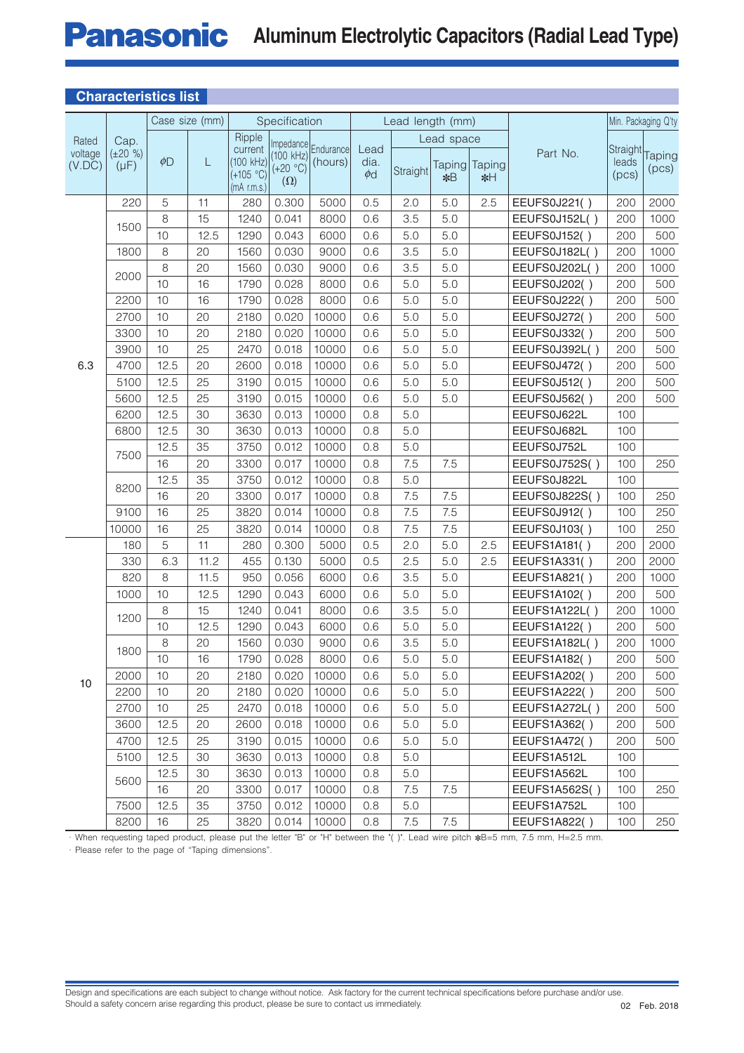# **Panasonic** Aluminum Electrolytic Capacitors (Radial Lead Type)

| UHALQUEHOLIUS HOL |                            |          |                |                                         |                                                                     |                                   |                          |                  |            |                     |                     |                                            |      |
|-------------------|----------------------------|----------|----------------|-----------------------------------------|---------------------------------------------------------------------|-----------------------------------|--------------------------|------------------|------------|---------------------|---------------------|--------------------------------------------|------|
|                   |                            |          | Case size (mm) |                                         | Specification                                                       |                                   |                          | Lead length (mm) |            |                     |                     | Min. Packaging Q'ty                        |      |
| Rated             | Cap.                       |          |                | Ripple                                  |                                                                     |                                   |                          |                  | Lead space |                     |                     |                                            |      |
| voltage<br>(V.DC) | $(\pm 20 \%)$<br>$(\mu F)$ | $\phi$ D | L              | current<br>$(+105 °C)$<br>$(mA$ r.m.s.) | $(100 \text{ kHz})$ $(100 \text{ kHz})$<br>$(+20 °C)$<br>$(\Omega)$ | Impedance<br>Endurance<br>(hours) | Lead<br>dia.<br>$\phi$ d | Straight         | $*B$       | Taping Taping<br>∗H | Part No.            | Straight Taping<br>leads<br>(pcs)<br>(pcs) |      |
|                   | 220                        | 5        | 11             | 280                                     | 0.300                                                               | 5000                              | 0.5                      | 2.0              | 5.0        | 2.5                 | EEUFS0J221()        | 200                                        | 2000 |
|                   | 1500                       | 8        | 15             | 1240                                    | 0.041                                                               | 8000                              | 0.6                      | 3.5              | 5.0        |                     | EEUFS0J152L()       | 200                                        | 1000 |
|                   |                            | 10       | 12.5           | 1290                                    | 0.043                                                               | 6000                              | 0.6                      | 5.0              | 5.0        |                     | EEUFS0J152()        | 200                                        | 500  |
|                   | 1800                       | 8        | 20             | 1560                                    | 0.030                                                               | 9000                              | 0.6                      | 3.5              | 5.0        |                     | EEUFS0J182L()       | 200                                        | 1000 |
|                   | 2000                       | 8        | 20             | 1560                                    | 0.030                                                               | 9000                              | 0.6                      | 3.5              | 5.0        |                     | EEUFS0J202L()       | 200                                        | 1000 |
|                   |                            | 10       | 16             | 1790                                    | 0.028                                                               | 8000                              | 0.6                      | 5.0              | 5.0        |                     | EEUFS0J202()        | 200                                        | 500  |
|                   | 2200                       | 10       | 16             | 1790                                    | 0.028                                                               | 8000                              | 0.6                      | 5.0              | 5.0        |                     | EEUFS0J222()        | 200                                        | 500  |
|                   | 2700                       | 10       | 20             | 2180                                    | 0.020                                                               | 10000                             | 0.6                      | 5.0              | 5.0        |                     | EEUFS0J272()        | 200                                        | 500  |
|                   | 3300                       | 10       | 20             | 2180                                    | 0.020                                                               | 10000                             | 0.6                      | 5.0              | 5.0        |                     | EEUFS0J332()        | 200                                        | 500  |
|                   | 3900                       | 10       | 25             | 2470                                    | 0.018                                                               | 10000                             | 0.6                      | 5.0              | 5.0        |                     | EEUFS0J392L()       | 200                                        | 500  |
| 6.3               | 4700                       | 12.5     | 20             | 2600                                    | 0.018                                                               | 10000                             | 0.6                      | 5.0              | 5.0        |                     | EEUFS0J472()        | 200                                        | 500  |
|                   | 5100                       | 12.5     | 25             | 3190                                    | 0.015                                                               | 10000                             | 0.6                      | 5.0              | 5.0        |                     | EEUFS0J512()        | 200                                        | 500  |
|                   | 5600                       | 12.5     | 25             | 3190                                    | 0.015                                                               | 10000                             | 0.6                      | 5.0              | 5.0        |                     | EEUFS0J562()        | 200                                        | 500  |
|                   | 6200                       | 12.5     | 30             | 3630                                    | 0.013                                                               | 10000                             | 0.8                      | 5.0              |            |                     | EEUFS0J622L         | 100                                        |      |
|                   | 6800                       | 12.5     | 30             | 3630                                    | 0.013                                                               | 10000                             | 0.8                      | 5.0              |            |                     | EEUFS0J682L         | 100                                        |      |
|                   | 7500<br>8200               | 12.5     | 35             | 3750                                    | 0.012                                                               | 10000                             | 0.8                      | 5.0              |            |                     | EEUFS0J752L         | 100                                        |      |
|                   |                            | 16       | 20             | 3300                                    | 0.017                                                               | 10000                             | 0.8                      | 7.5              | 7.5        |                     | EEUFS0J752S()       | 100                                        | 250  |
|                   |                            | 12.5     | 35             | 3750                                    | 0.012                                                               | 10000                             | 0.8                      | 5.0              |            |                     | EEUFS0J822L         | 100                                        |      |
|                   |                            | 16       | 20             | 3300                                    | 0.017                                                               | 10000                             | 0.8                      | 7.5              | 7.5        |                     | EEUFS0J822S()       | 100                                        | 250  |
|                   | 9100                       | 16       | 25             | 3820                                    | 0.014                                                               | 10000                             | 0.8                      | 7.5              | 7.5        |                     | EEUFS0J912()        | 100                                        | 250  |
|                   | 10000                      | 16       | 25             | 3820                                    | 0.014                                                               | 10000                             | 0.8                      | 7.5              | 7.5        |                     | EEUFS0J103()        | 100                                        | 250  |
|                   | 180                        | 5        | 11             | 280                                     | 0.300                                                               | 5000                              | 0.5                      | 2.0              | 5.0        | 2.5                 | EEUFS1A181()        | 200                                        | 2000 |
|                   | 330                        | 6.3      | 11.2           | 455                                     | 0.130                                                               | 5000                              | 0.5                      | 2.5              | 5.0        | 2.5                 | EEUFS1A331()        | 200                                        | 2000 |
|                   | 820                        | 8        | 11.5           | 950                                     | 0.056                                                               | 6000                              | 0.6                      | 3.5              | 5.0        |                     | <b>EEUFS1A821()</b> | 200                                        | 1000 |
|                   | 1000                       | 10       | 12.5           | 1290                                    | 0.043                                                               | 6000                              | 0.6                      | 5.0              | 5.0        |                     | EEUFS1A102()        | 200                                        | 500  |
|                   |                            | 8        | 15             | 1240                                    | 0.041                                                               | 8000                              | 0.6                      | 3.5              | 5.0        |                     | EEUFS1A122L()       | 200                                        | 1000 |
|                   | 1200                       | 10       | 12.5           | 1290                                    | 0.043                                                               | 6000                              | 0.6                      | 5.0              | 5.0        |                     | <b>EEUFS1A122()</b> | 200                                        | 500  |
|                   | 1800                       | 8        | 20             | 1560                                    | 0.030                                                               | 9000                              | 0.6                      | 3.5              | 5.0        |                     | EEUFS1A182L()       | 200                                        | 1000 |
|                   |                            | 10       | 16             | 1790                                    | 0.028                                                               | 8000                              | 0.6                      | 5.0              | 5.0        |                     | <b>EEUFS1A182()</b> | 200                                        | 500  |
| 10                | 2000                       | 10       | 20             | 2180                                    | 0.020                                                               | 10000                             | 0.6                      | 5.0              | 5.0        |                     | EEUFS1A202()        | 200                                        | 500  |
|                   | 2200                       | 10       | 20             | 2180                                    | 0.020                                                               | 10000                             | 0.6                      | 5.0              | 5.0        |                     | <b>EEUFS1A222()</b> | 200                                        | 500  |
|                   | 2700                       | 10       | 25             | 2470                                    | 0.018                                                               | 10000                             | 0.6                      | 5.0              | 5.0        |                     | EEUFS1A272L()       | 200                                        | 500  |
|                   | 3600                       | 12.5     | 20             | 2600                                    | 0.018                                                               | 10000                             | 0.6                      | 5.0              | 5.0        |                     | EEUFS1A362()        | 200                                        | 500  |
|                   | 4700                       | 12.5     | 25             | 3190                                    | 0.015                                                               | 10000                             | 0.6                      | 5.0              | 5.0        |                     | <b>EEUFS1A472()</b> | 200                                        | 500  |
|                   | 5100                       | 12.5     | 30             | 3630                                    | 0.013                                                               | 10000                             | 0.8                      | 5.0              |            |                     | EEUFS1A512L         | 100                                        |      |
|                   |                            | 12.5     | 30             | 3630                                    | 0.013                                                               | 10000                             | 0.8                      | $5.0\,$          |            |                     | EEUFS1A562L         | 100                                        |      |
|                   | 5600                       | 16       | 20             | 3300                                    | 0.017                                                               | 10000                             | 0.8                      | 7.5              | 7.5        |                     | EEUFS1A562S()       | 100                                        | 250  |
|                   | 7500                       | 12.5     | 35             | 3750                                    | 0.012                                                               | 10000                             | 0.8                      | 5.0              |            |                     | EEUFS1A752L         | 100                                        |      |
|                   | 8200                       | 16       | 25             | 3820                                    | 0.014                                                               | 10000                             | 0.8                      | 7.5              | 7.5        |                     | EEUFS1A822()        | 100                                        | 250  |

#### **Characteristics list**

· When requesting taped product, please put the letter "B" or "H" between the "( )". Lead wire pitch \*B=5 mm, 7.5 mm, H=2.5 mm.

· Please refer to the page of "Taping dimensions".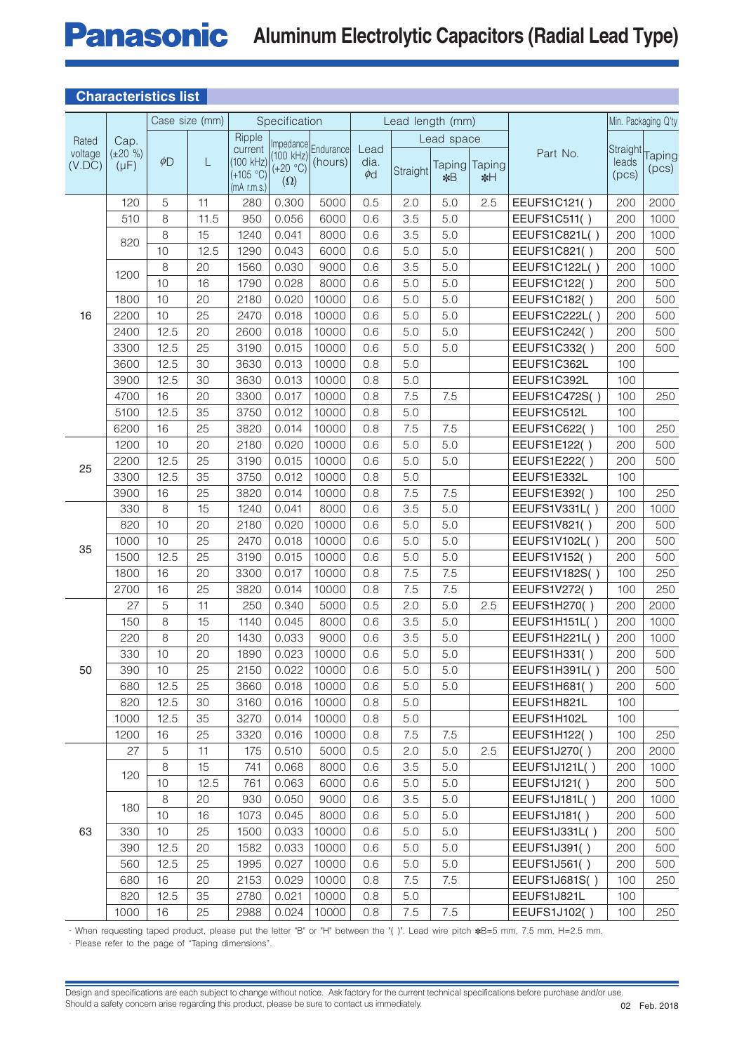### **Panasonic Aluminum Electrolytic Capacitors (Radial Lead Type)**

| <b>Characteristics list</b> |                            |                 |                |                                                      |                                       |                                |                          |                  |                  |                        |                      |                            |                     |
|-----------------------------|----------------------------|-----------------|----------------|------------------------------------------------------|---------------------------------------|--------------------------------|--------------------------|------------------|------------------|------------------------|----------------------|----------------------------|---------------------|
|                             |                            |                 | Case size (mm) |                                                      | Specification                         |                                |                          | Lead length (mm) |                  |                        |                      |                            | Min. Packaging Q'ty |
| Rated                       | Cap.                       |                 |                | Ripple                                               |                                       |                                |                          | Lead space       |                  |                        |                      |                            |                     |
| voltage<br>(V.DC)           | $(\pm 20 \%)$<br>$(\mu F)$ | $\phi$ D        | L              | current<br>(100 kHz)<br>$(+105 °C)$<br>$(mA$ r.m.s.) | (100 kHz)<br>$(+20 °C)$<br>$(\Omega)$ | Impedance Endurance<br>(hours) | Lead<br>dia.<br>$\phi$ d | Straight         | $*B$             | Taping Taping<br>$*$ H | Part No.             | Straight<br>leads<br>(pcs) | Taping<br>(pcs)     |
|                             | 120                        | 5               | 11             | 280                                                  | 0.300                                 | 5000                           | 0.5                      | 2.0              | 5.0              | 2.5                    | EEUFS1C121()         | 200                        | 2000                |
|                             | 510                        | 8               | 11.5           | 950                                                  | 0.056                                 | 6000                           | 0.6                      | 3.5              | 5.0              |                        | EEUFS1C511()         | 200                        | 1000                |
|                             | 820                        | 8               | 15             | 1240                                                 | 0.041                                 | 8000                           | 0.6                      | 3.5              | 5.0              |                        | EEUFS1C821L()        | 200                        | 1000                |
|                             |                            | 10              | 12.5           | 1290                                                 | 0.043                                 | 6000                           | 0.6                      | 5.0              | 5.0              |                        | <b>EEUFS1C821()</b>  | 200                        | 500                 |
|                             | 1200                       | 8               | 20             | 1560                                                 | 0.030                                 | 9000                           | 0.6                      | 3.5              | 5.0              |                        | EEUFS1C122L()        | 200                        | 1000                |
|                             |                            | 10              | 16             | 1790                                                 | 0.028                                 | 8000                           | 0.6                      | 5.0              | 5.0              |                        | <b>EEUFS1C122()</b>  | 200                        | 500                 |
|                             | 1800                       | 10              | 20             | 2180                                                 | 0.020                                 | 10000                          | 0.6                      | 5.0              | 5.0              |                        | <b>EEUFS1C182()</b>  | 200                        | 500                 |
| 16                          | 2200                       | 10              | 25             | 2470                                                 | 0.018                                 | 10000                          | 0.6                      | 5.0              | 5.0              |                        | EEUFS1C222L()        | 200                        | 500                 |
|                             | 2400                       | 12.5            | 20             | 2600                                                 | 0.018                                 | 10000                          | 0.6                      | 5.0              | 5.0              |                        | EEUFS1C242()         | 200                        | 500                 |
|                             | 3300                       | 12.5            | 25             | 3190                                                 | 0.015                                 | 10000                          | 0.6                      | 5.0              | 5.0              |                        | EEUFS1C332()         | 200                        | 500                 |
|                             | 3600                       | 12.5            | 30             | 3630                                                 | 0.013                                 | 10000                          | 0.8                      | 5.0              |                  |                        | EEUFS1C362L          | 100                        |                     |
|                             | 3900                       | 12.5            | 30             | 3630                                                 | 0.013                                 | 10000                          | 0.8                      | 5.0              |                  |                        | EEUFS1C392L          | 100                        |                     |
|                             | 4700                       | 16              | 20             | 3300                                                 | 0.017                                 | 10000                          | 0.8                      | 7.5              | 7.5              |                        | EEUFS1C472S()        | 100                        | 250                 |
|                             | 5100                       | 12.5            | 35             | 3750                                                 | 0.012                                 | 10000                          | 0.8                      | 5.0              |                  |                        | EEUFS1C512L          | 100                        |                     |
|                             | 6200                       | 16              | 25             | 3820                                                 | 0.014                                 | 10000                          | 0.8                      | 7.5              | 7.5              |                        | <b>EEUFS1C622()</b>  | 100                        | 250                 |
| 25                          | 1200                       | 10              | 20             | 2180                                                 | 0.020                                 | 10000                          | 0.6                      | 5.0              | 5.0              |                        | EEUFS1E122()         | 200                        | 500                 |
|                             | 2200                       | 12.5            | 25             | 3190                                                 | 0.015                                 | 10000                          | 0.6                      | 5.0              | 5.0              |                        | EEUFS1E222()         | 200                        | 500                 |
|                             | 3300                       | 12.5            | 35             | 3750                                                 | 0.012                                 | 10000                          | 0.8                      | 5.0              |                  |                        | EEUFS1E332L          | 100                        |                     |
|                             | 3900                       | 16              | 25             | 3820                                                 | 0.014                                 | 10000                          | 0.8                      | 7.5              | 7.5              |                        | EEUFS1E392()         | 100                        | 250                 |
|                             | 330                        | 8               | 15             | 1240                                                 | 0.041                                 | 8000                           | 0.6                      | 3.5              | 5.0              |                        | EEUFS1V331L()        | 200                        | 1000                |
|                             | 820                        | 10              | 20             | 2180                                                 | 0.020                                 | 10000                          | 0.6                      | 5.0              | 5.0              |                        | EEUFS1V821()         | 200                        | 500                 |
| 35                          | 1000                       | 10              | 25             | 2470                                                 | 0.018                                 | 10000                          | 0.6                      | 5.0              | 5.0              |                        | EEUFS1V102L()        | 200                        | 500                 |
|                             | 1500                       | 12.5            | 25             | 3190                                                 | 0.015                                 | 10000                          | 0.6                      | 5.0              | 5.0              |                        | <b>EEUFS1V152()</b>  | 200                        | 500                 |
|                             | 1800                       | 16              | 20             | 3300                                                 | 0.017                                 | 10000                          | 0.8                      | 7.5              | 7.5              |                        | <b>EEUFS1V182S()</b> | 100                        | 250                 |
|                             | 2700                       | 16              | 25             | 3820                                                 | 0.014                                 | 10000                          | 0.8                      | 7.5              | 7.5              |                        | EEUFS1V272()         | 100                        | 250                 |
|                             | 27                         | 5               | 11             | 250                                                  | 0.340                                 | 5000                           | 0.5                      | 2.0              | 5.0              | 2.5                    | EEUFS1H270()         | 200                        | 2000                |
|                             | 150                        | 8               | 15             | 1140                                                 | 0.045                                 | 8000                           | 0.6                      | 3.5              | 5.0              |                        | EEUFS1H151L()        | 200                        | 1000                |
|                             | 220                        | 8               | 20             | 1430                                                 | 0.033                                 | 9000                           | 0.6                      | 3.5              | 5.0              |                        | EEUFS1H221L()        | 200                        | 1000                |
|                             | 330                        | $10$            | 20             | 1890                                                 | 0.023                                 | 10000                          | 0.6                      | 5.0              | $\overline{5.0}$ |                        | EEUFS1H331()         | 200                        | 500                 |
| 50                          | 390                        | 10 <sup>1</sup> | 25             | 2150                                                 | 0.022                                 | 10000                          | 0.6                      | 5.0              | 5.0              |                        | EEUFS1H391L()        | 200                        | 500                 |
|                             | 680                        | 12.5            | 25             | 3660                                                 | 0.018                                 | 10000                          | 0.6                      | 5.0              | 5.0              |                        | EEUFS1H681()         | 200                        | 500                 |
|                             | 820                        | 12.5            | 30             | 3160                                                 | 0.016                                 | 10000                          | 0.8                      | 5.0              |                  |                        | EEUFS1H821L          | 100                        |                     |
|                             | 1000                       | 12.5            | 35             | 3270                                                 | 0.014                                 | 10000                          | 0.8                      | 5.0              |                  |                        | EEUFS1H102L          | 100                        |                     |
|                             | 1200                       | 16              | 25             | 3320                                                 | 0.016                                 | 10000                          | 0.8                      | 7.5              | 7.5              |                        | <b>EEUFS1H122()</b>  | 100                        | 250                 |
|                             | 27                         | 5               | 11             | 175                                                  | 0.510                                 | 5000                           | 0.5                      | 2.0              | 5.0              | 2.5                    | EEUFS1J270()         | 200                        | 2000                |
|                             | 120                        | 8               | 15             | 741                                                  | 0.068                                 | 8000                           | 0.6                      | 3.5              | 5.0              |                        | EEUFS1J121L()        | 200                        | 1000                |
|                             |                            | 10              | 12.5           | 761                                                  | 0.063                                 | 6000                           | 0.6                      | 5.0              | 5.0              |                        | EEUFS1J121()         | 200                        | 500                 |
|                             | 180                        | 8               | 20             | 930                                                  | 0.050                                 | 9000                           | 0.6                      | 3.5              | 5.0              |                        | EEUFS1J181L()        | 200                        | 1000                |
|                             |                            | 10              | 16             | 1073                                                 | 0.045                                 | 8000                           | 0.6                      | 5.0              | 5.0              |                        | EEUFS1J181()         | 200                        | 500                 |
| 63                          | 330                        | 10              | 25             | 1500                                                 | 0.033                                 | 10000                          | 0.6                      | 5.0              | 5.0              |                        | EEUFS1J331L()        | 200                        | 500                 |
|                             | 390                        | 12.5            | 20             | 1582                                                 | 0.033                                 | 10000                          | 0.6                      | 5.0              | 5.0              |                        | EEUFS1J391()         | 200                        | 500                 |
|                             | 560                        | 12.5            | 25             | 1995                                                 | 0.027                                 | 10000                          | 0.6                      | 5.0              | 5.0              |                        | EEUFS1J561()         | 200                        | 500                 |
|                             | 680                        | 16              | 20             | 2153                                                 | 0.029                                 | 10000                          | 0.8                      | 7.5              | 7.5              |                        | EEUFS1J681S()        | 100                        | 250                 |
|                             | 820                        | 12.5            | 35             | 2780                                                 | 0.021                                 | 10000                          | 0.8                      | 5.0              |                  |                        | EEUFS1J821L          | 100                        |                     |
|                             | 1000                       | 16              | 25             | 2988                                                 | 0.024                                 | 10000                          | 0.8                      | 7.5              | 7.5              |                        | EEUFS1J102()         | 100                        | 250                 |

· When requesting taped product, please put the letter "B" or "H" be tween the "( )". Lead wire pitch ✽B=5 mm, 7.5 mm, H=2.5 mm.

· Please refer to the page of "Taping dimensions".